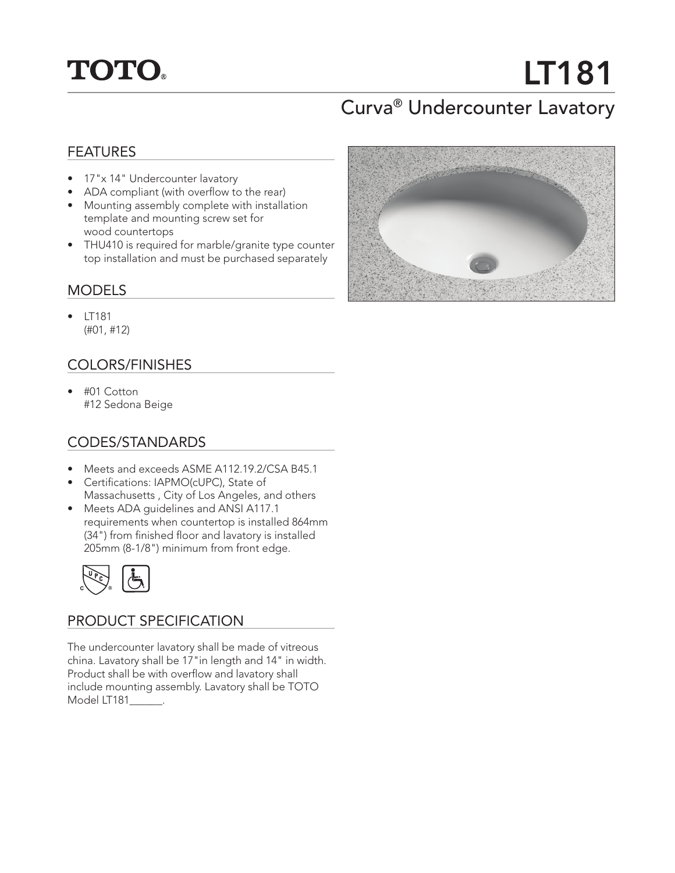## **TOTO.**

# LT181

### Curva® Undercounter Lavatory

#### FEATURES

- 17"x 14" Undercounter lavatory
- ADA compliant (with overflow to the rear)
- Mounting assembly complete with installation template and mounting screw set for wood countertops
- THU410 is required for marble/granite type counter top installation and must be purchased separately

#### MODELS

• LT181 (#01, #12)

#### COLORS/FINISHES

• #01 Cotton #12 Sedona Beige

#### CODES/STANDARDS

- Meets and exceeds ASME A112.19.2/CSA B45.1
- Certifications: IAPMO(cUPC), State of Massachusetts , City of Los Angeles, and others
- Meets ADA guidelines and ANSI A117.1 requirements when countertop is installed 864mm (34") from finished floor and lavatory is installed 205mm (8-1/8") minimum from front edge.



#### PRODUCT SPECIFICATION

The undercounter lavatory shall be made of vitreous china. Lavatory shall be 17"in length and 14" in width. Product shall be with overflow and lavatory shall include mounting assembly. Lavatory shall be TOTO Model LT181\_\_\_\_\_\_.